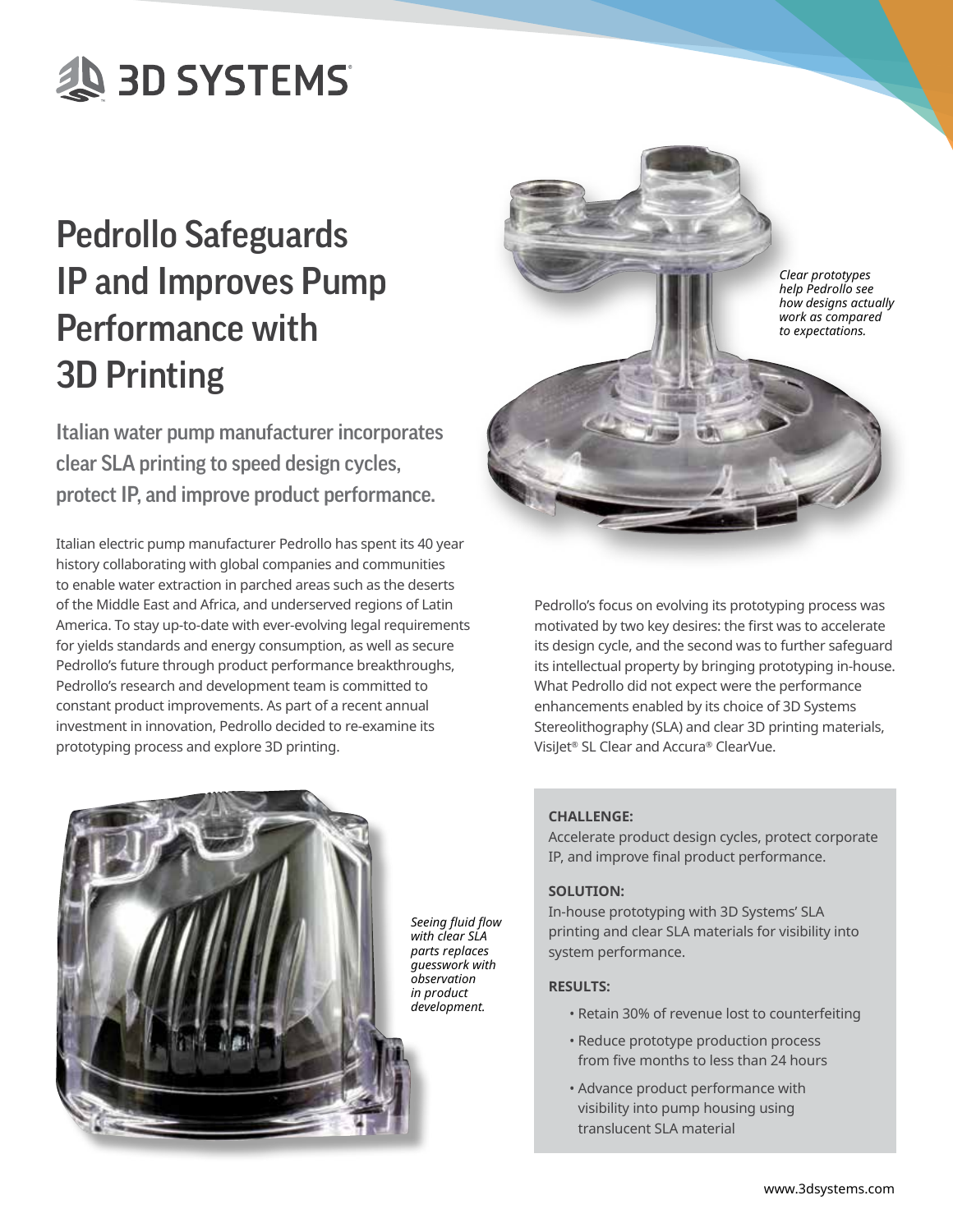# **AD SYSTEMS**

# Pedrollo Safeguards IP and Improves Pump Performance with 3D Printing

Italian water pump manufacturer incorporates clear SLA printing to speed design cycles, protect IP, and improve product performance.

Italian electric pump manufacturer Pedrollo has spent its 40 year history collaborating with global companies and communities to enable water extraction in parched areas such as the deserts of the Middle East and Africa, and underserved regions of Latin America. To stay up-to-date with ever-evolving legal requirements for yields standards and energy consumption, as well as secure Pedrollo's future through product performance breakthroughs, Pedrollo's research and development team is committed to constant product improvements. As part of a recent annual investment in innovation, Pedrollo decided to re-examine its prototyping process and explore 3D printing.



Pedrollo's focus on evolving its prototyping process was motivated by two key desires: the first was to accelerate its design cycle, and the second was to further safeguard its intellectual property by bringing prototyping in-house. What Pedrollo did not expect were the performance enhancements enabled by its choice of 3D Systems Stereolithography (SLA) and clear 3D printing materials, VisiJet® SL Clear and Accura® ClearVue.



## **CHALLENGE:**

Accelerate product design cycles, protect corporate IP, and improve final product performance.

#### **SOLUTION:**

In-house prototyping with 3D Systems' SLA printing and clear SLA materials for visibility into system performance.

#### **RESULTS:**

- Retain 30% of revenue lost to counterfeiting
- Reduce prototype production process from five months to less than 24 hours
- Advance product performance with visibility into pump housing using translucent SLA material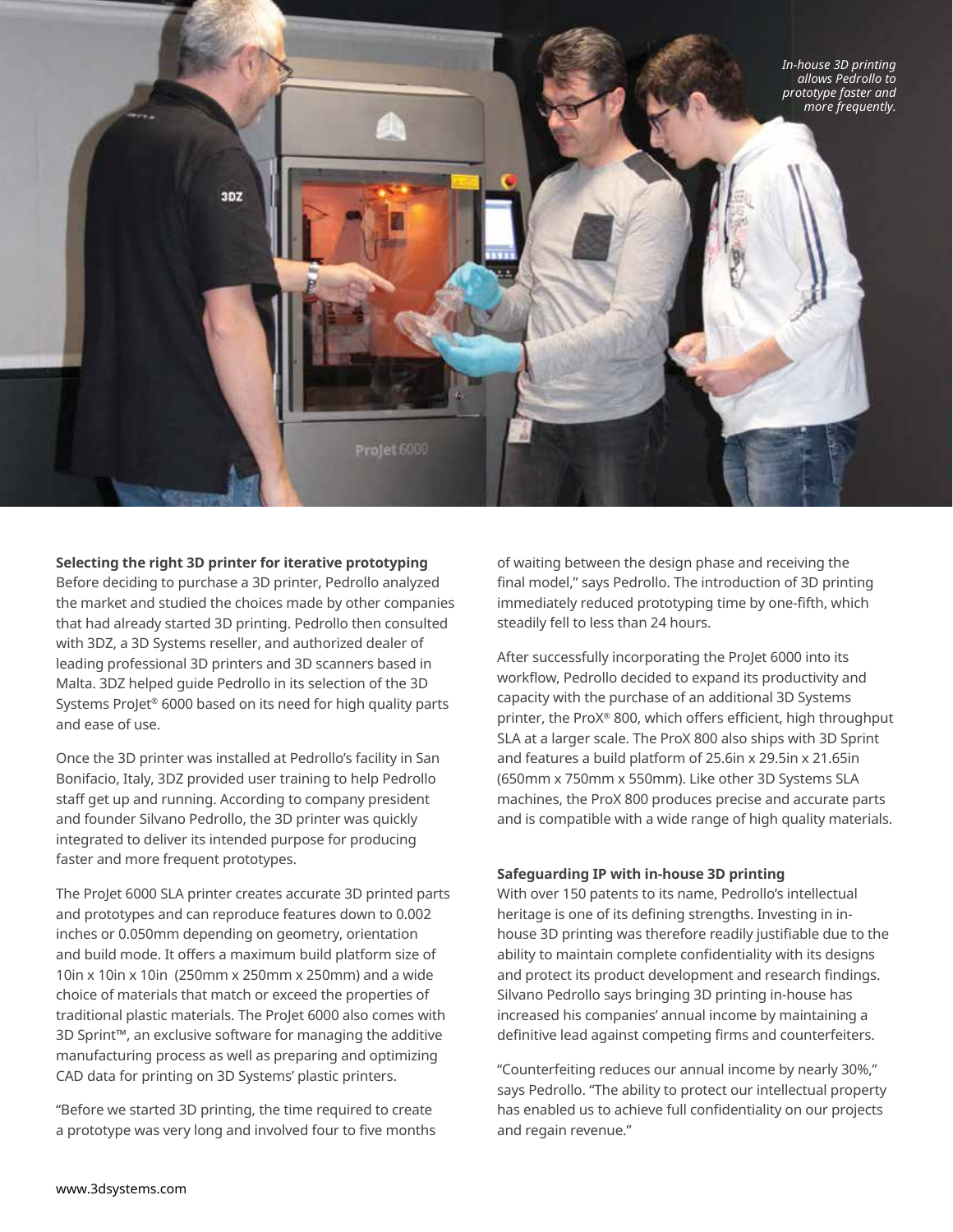

#### **Selecting the right 3D printer for iterative prototyping**

Before deciding to purchase a 3D printer, Pedrollo analyzed the market and studied the choices made by other companies that had already started 3D printing. Pedrollo then consulted with 3DZ, a 3D Systems reseller, and authorized dealer of leading professional 3D printers and 3D scanners based in Malta. 3DZ helped guide Pedrollo in its selection of the 3D Systems ProJet® 6000 based on its need for high quality parts and ease of use.

Once the 3D printer was installed at Pedrollo's facility in San Bonifacio, Italy, 3DZ provided user training to help Pedrollo staff get up and running. According to company president and founder Silvano Pedrollo, the 3D printer was quickly integrated to deliver its intended purpose for producing faster and more frequent prototypes.

The ProJet 6000 SLA printer creates accurate 3D printed parts and prototypes and can reproduce features down to 0.002 inches or 0.050mm depending on geometry, orientation and build mode. It offers a maximum build platform size of 10in x 10in x 10in (250mm x 250mm x 250mm) and a wide choice of materials that match or exceed the properties of traditional plastic materials. The ProJet 6000 also comes with 3D Sprint™, an exclusive software for managing the additive manufacturing process as well as preparing and optimizing CAD data for printing on 3D Systems' plastic printers.

"Before we started 3D printing, the time required to create a prototype was very long and involved four to five months of waiting between the design phase and receiving the final model," says Pedrollo. The introduction of 3D printing immediately reduced prototyping time by one-fifth, which steadily fell to less than 24 hours.

After successfully incorporating the ProJet 6000 into its workflow, Pedrollo decided to expand its productivity and capacity with the purchase of an additional 3D Systems printer, the ProX® 800, which offers efficient, high throughput SLA at a larger scale. The ProX 800 also ships with 3D Sprint and features a build platform of 25.6in x 29.5in x 21.65in (650mm x 750mm x 550mm). Like other 3D Systems SLA machines, the ProX 800 produces precise and accurate parts and is compatible with a wide range of high quality materials.

#### **Safeguarding IP with in-house 3D printing**

With over 150 patents to its name, Pedrollo's intellectual heritage is one of its defining strengths. Investing in inhouse 3D printing was therefore readily justifiable due to the ability to maintain complete confidentiality with its designs and protect its product development and research findings. Silvano Pedrollo says bringing 3D printing in-house has increased his companies' annual income by maintaining a definitive lead against competing firms and counterfeiters.

"Counterfeiting reduces our annual income by nearly 30%," says Pedrollo. "The ability to protect our intellectual property has enabled us to achieve full confidentiality on our projects and regain revenue."